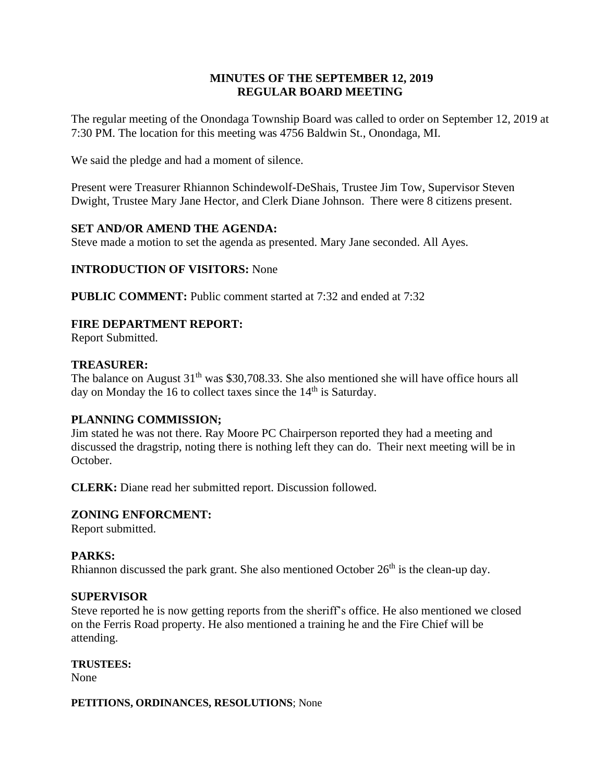## **MINUTES OF THE SEPTEMBER 12, 2019 REGULAR BOARD MEETING**

The regular meeting of the Onondaga Township Board was called to order on September 12, 2019 at 7:30 PM. The location for this meeting was 4756 Baldwin St., Onondaga, MI.

We said the pledge and had a moment of silence.

Present were Treasurer Rhiannon Schindewolf-DeShais, Trustee Jim Tow, Supervisor Steven Dwight, Trustee Mary Jane Hector, and Clerk Diane Johnson. There were 8 citizens present.

# **SET AND/OR AMEND THE AGENDA:**

Steve made a motion to set the agenda as presented. Mary Jane seconded. All Ayes.

# **INTRODUCTION OF VISITORS:** None

**PUBLIC COMMENT:** Public comment started at 7:32 and ended at 7:32

# **FIRE DEPARTMENT REPORT:**

Report Submitted.

# **TREASURER:**

The balance on August  $31<sup>th</sup>$  was \$30,708.33. She also mentioned she will have office hours all day on Monday the 16 to collect taxes since the 14<sup>th</sup> is Saturday.

# **PLANNING COMMISSION;**

Jim stated he was not there. Ray Moore PC Chairperson reported they had a meeting and discussed the dragstrip, noting there is nothing left they can do. Their next meeting will be in October.

**CLERK:** Diane read her submitted report. Discussion followed.

# **ZONING ENFORCMENT:**

Report submitted.

# **PARKS:**

Rhiannon discussed the park grant. She also mentioned October  $26<sup>th</sup>$  is the clean-up day.

## **SUPERVISOR**

Steve reported he is now getting reports from the sheriff's office. He also mentioned we closed on the Ferris Road property. He also mentioned a training he and the Fire Chief will be attending.

## **TRUSTEES:**

None

## **PETITIONS, ORDINANCES, RESOLUTIONS**; None